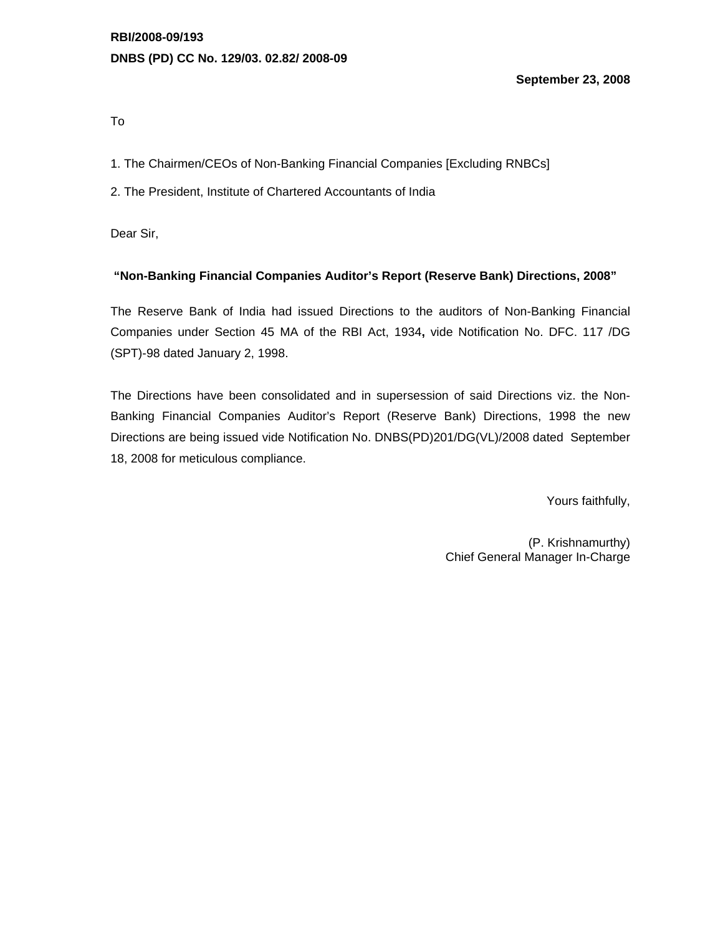**September 23, 2008** 

To

1. The Chairmen/CEOs of Non-Banking Financial Companies [Excluding RNBCs]

2. The President, Institute of Chartered Accountants of India

Dear Sir,

### **"Non-Banking Financial Companies Auditor's Report (Reserve Bank) Directions, 2008"**

The Reserve Bank of India had issued Directions to the auditors of Non-Banking Financial Companies under Section 45 MA of the RBI Act, 1934**,** vide Notification No. DFC. 117 /DG (SPT)-98 dated January 2, 1998.

The Directions have been consolidated and in supersession of said Directions viz. the Non-Banking Financial Companies Auditor's Report (Reserve Bank) Directions, 1998 the new Directions are being issued vide Notification No. DNBS(PD)201/DG(VL)/2008 dated September 18, 2008 for meticulous compliance.

Yours faithfully,

(P. Krishnamurthy) Chief General Manager In-Charge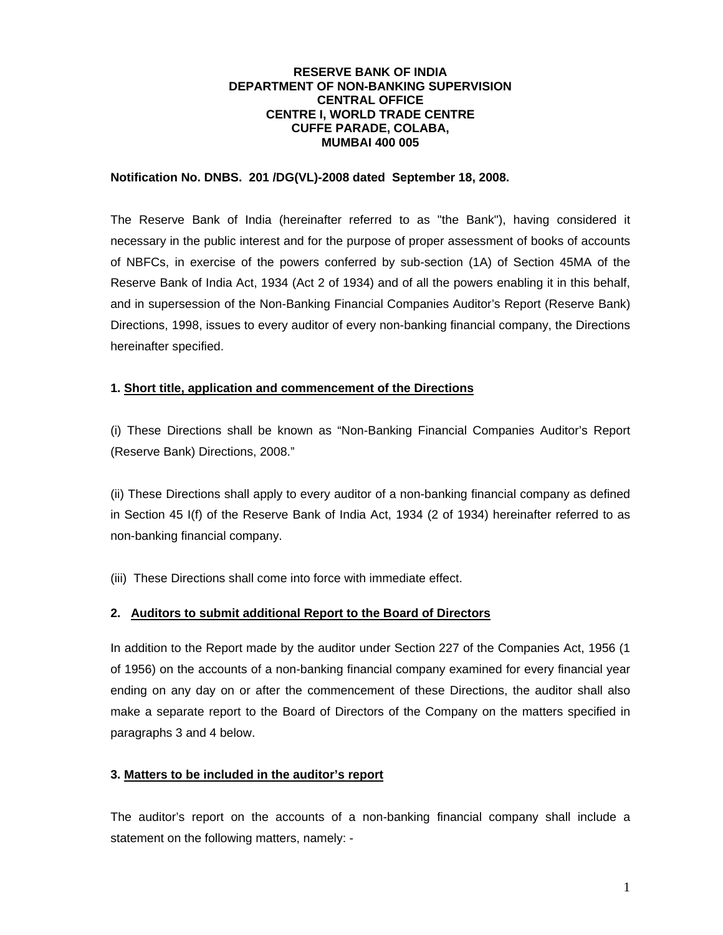#### **RESERVE BANK OF INDIA DEPARTMENT OF NON-BANKING SUPERVISION CENTRAL OFFICE CENTRE I, WORLD TRADE CENTRE CUFFE PARADE, COLABA, MUMBAI 400 005**

#### **Notification No. DNBS. 201 /DG(VL)-2008 dated September 18, 2008.**

The Reserve Bank of India (hereinafter referred to as "the Bank"), having considered it necessary in the public interest and for the purpose of proper assessment of books of accounts of NBFCs, in exercise of the powers conferred by sub-section (1A) of Section 45MA of the Reserve Bank of India Act, 1934 (Act 2 of 1934) and of all the powers enabling it in this behalf, and in supersession of the Non-Banking Financial Companies Auditor's Report (Reserve Bank) Directions, 1998, issues to every auditor of every non-banking financial company, the Directions hereinafter specified.

### **1. Short title, application and commencement of the Directions**

(i) These Directions shall be known as "Non-Banking Financial Companies Auditor's Report (Reserve Bank) Directions, 2008."

(ii) These Directions shall apply to every auditor of a non-banking financial company as defined in Section 45 I(f) of the Reserve Bank of India Act, 1934 (2 of 1934) hereinafter referred to as non-banking financial company.

(iii) These Directions shall come into force with immediate effect.

### **2. Auditors to submit additional Report to the Board of Directors**

In addition to the Report made by the auditor under Section 227 of the Companies Act, 1956 (1 of 1956) on the accounts of a non-banking financial company examined for every financial year ending on any day on or after the commencement of these Directions, the auditor shall also make a separate report to the Board of Directors of the Company on the matters specified in paragraphs 3 and 4 below.

### **3. Matters to be included in the auditor's report**

The auditor's report on the accounts of a non-banking financial company shall include a statement on the following matters, namely: -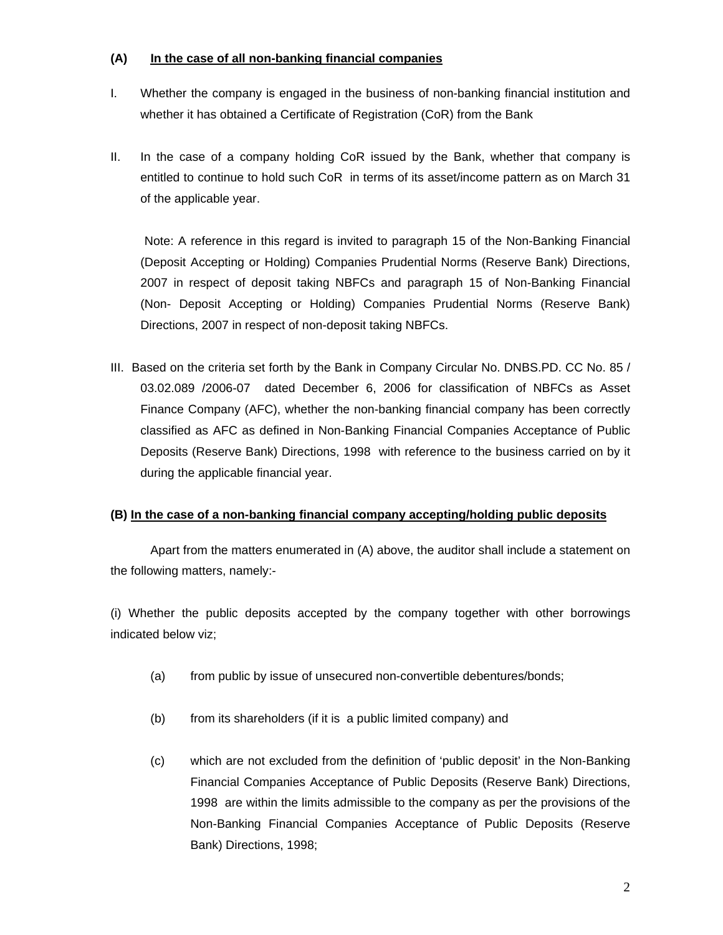# **(A) In the case of all non-banking financial companies**

- I. Whether the company is engaged in the business of non-banking financial institution and whether it has obtained a Certificate of Registration (CoR) from the Bank
- II. In the case of a company holding CoR issued by the Bank, whether that company is entitled to continue to hold such CoR in terms of its asset/income pattern as on March 31 of the applicable year.

 Note: A reference in this regard is invited to paragraph 15 of the Non-Banking Financial (Deposit Accepting or Holding) Companies Prudential Norms (Reserve Bank) Directions, 2007 in respect of deposit taking NBFCs and paragraph 15 of Non-Banking Financial (Non- Deposit Accepting or Holding) Companies Prudential Norms (Reserve Bank) Directions, 2007 in respect of non-deposit taking NBFCs.

III. Based on the criteria set forth by the Bank in Company Circular No. DNBS.PD. CC No. 85 / 03.02.089 /2006-07 dated December 6, 2006 for classification of NBFCs as Asset Finance Company (AFC), whether the non-banking financial company has been correctly classified as AFC as defined in Non-Banking Financial Companies Acceptance of Public Deposits (Reserve Bank) Directions, 1998 with reference to the business carried on by it during the applicable financial year.

### **(B) In the case of a non-banking financial company accepting/holding public deposits**

 Apart from the matters enumerated in (A) above, the auditor shall include a statement on the following matters, namely:-

(i) Whether the public deposits accepted by the company together with other borrowings indicated below viz;

- (a) from public by issue of unsecured non-convertible debentures/bonds;
- (b) from its shareholders (if it is a public limited company) and
- (c) which are not excluded from the definition of 'public deposit' in the Non-Banking Financial Companies Acceptance of Public Deposits (Reserve Bank) Directions, 1998 are within the limits admissible to the company as per the provisions of the Non-Banking Financial Companies Acceptance of Public Deposits (Reserve Bank) Directions, 1998;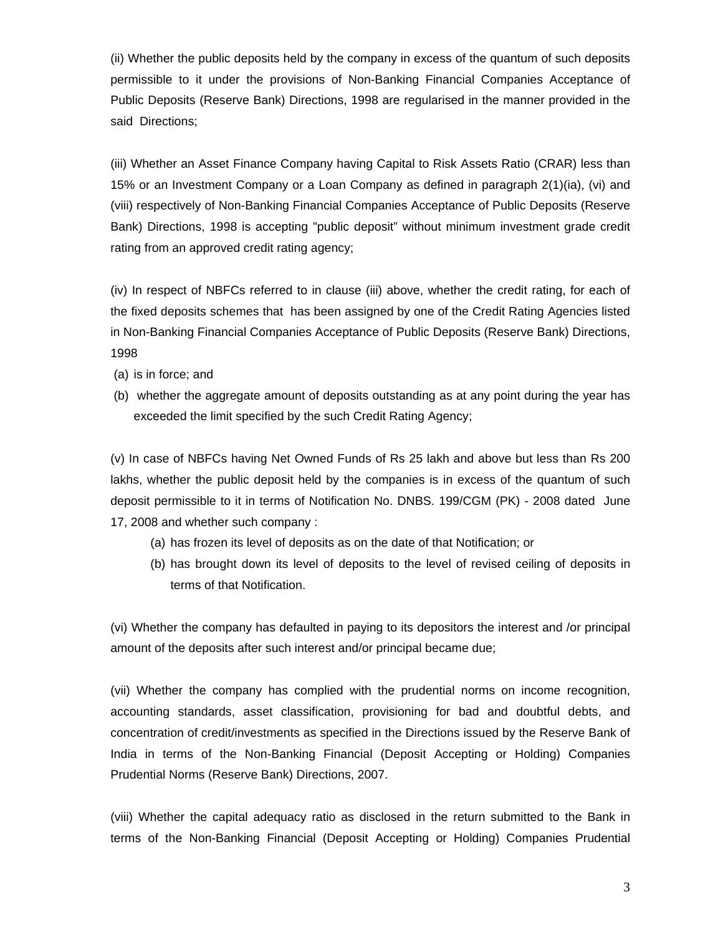(ii) Whether the public deposits held by the company in excess of the quantum of such deposits permissible to it under the provisions of Non-Banking Financial Companies Acceptance of Public Deposits (Reserve Bank) Directions, 1998 are regularised in the manner provided in the said Directions;

(iii) Whether an Asset Finance Company having Capital to Risk Assets Ratio (CRAR) less than 15% or an Investment Company or a Loan Company as defined in paragraph 2(1)(ia), (vi) and (viii) respectively of Non-Banking Financial Companies Acceptance of Public Deposits (Reserve Bank) Directions, 1998 is accepting "public deposit" without minimum investment grade credit rating from an approved credit rating agency;

(iv) In respect of NBFCs referred to in clause (iii) above, whether the credit rating, for each of the fixed deposits schemes that has been assigned by one of the Credit Rating Agencies listed in Non-Banking Financial Companies Acceptance of Public Deposits (Reserve Bank) Directions, 1998

(a) is in force; and

(b) whether the aggregate amount of deposits outstanding as at any point during the year has exceeded the limit specified by the such Credit Rating Agency;

(v) In case of NBFCs having Net Owned Funds of Rs 25 lakh and above but less than Rs 200 lakhs, whether the public deposit held by the companies is in excess of the quantum of such deposit permissible to it in terms of Notification No. DNBS. 199/CGM (PK) - 2008 dated June 17, 2008 and whether such company :

- (a) has frozen its level of deposits as on the date of that Notification; or
- (b) has brought down its level of deposits to the level of revised ceiling of deposits in terms of that Notification.

(vi) Whether the company has defaulted in paying to its depositors the interest and /or principal amount of the deposits after such interest and/or principal became due;

(vii) Whether the company has complied with the prudential norms on income recognition, accounting standards, asset classification, provisioning for bad and doubtful debts, and concentration of credit/investments as specified in the Directions issued by the Reserve Bank of India in terms of the Non-Banking Financial (Deposit Accepting or Holding) Companies Prudential Norms (Reserve Bank) Directions, 2007.

(viii) Whether the capital adequacy ratio as disclosed in the return submitted to the Bank in terms of the Non-Banking Financial (Deposit Accepting or Holding) Companies Prudential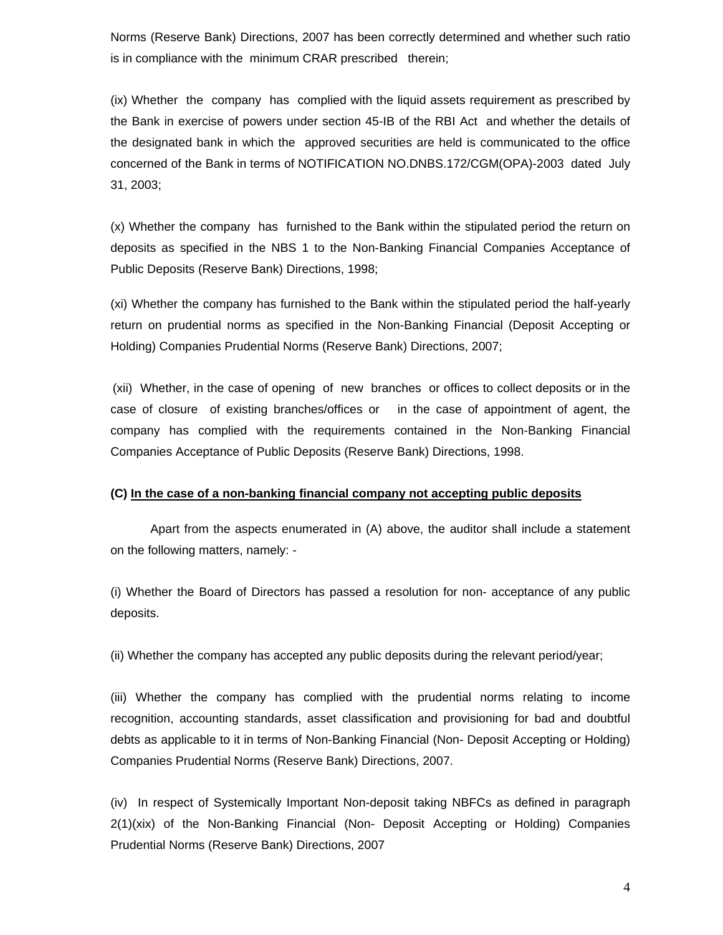Norms (Reserve Bank) Directions, 2007 has been correctly determined and whether such ratio is in compliance with the minimum CRAR prescribed therein;

(ix) Whether the company has complied with the liquid assets requirement as prescribed by the Bank in exercise of powers under section 45-IB of the RBI Act and whether the details of the designated bank in which the approved securities are held is communicated to the office concerned of the Bank in terms of NOTIFICATION NO.DNBS.172/CGM(OPA)-2003 dated July 31, 2003;

(x) Whether the company has furnished to the Bank within the stipulated period the return on deposits as specified in the NBS 1 to the Non-Banking Financial Companies Acceptance of Public Deposits (Reserve Bank) Directions, 1998;

(xi) Whether the company has furnished to the Bank within the stipulated period the half-yearly return on prudential norms as specified in the Non-Banking Financial (Deposit Accepting or Holding) Companies Prudential Norms (Reserve Bank) Directions, 2007;

(xii) Whether, in the case of opening of new branches or offices to collect deposits or in the case of closure of existing branches/offices or in the case of appointment of agent, the company has complied with the requirements contained in the Non-Banking Financial Companies Acceptance of Public Deposits (Reserve Bank) Directions, 1998.

#### **(C) In the case of a non-banking financial company not accepting public deposits**

 Apart from the aspects enumerated in (A) above, the auditor shall include a statement on the following matters, namely: -

(i) Whether the Board of Directors has passed a resolution for non- acceptance of any public deposits.

(ii) Whether the company has accepted any public deposits during the relevant period/year;

(iii) Whether the company has complied with the prudential norms relating to income recognition, accounting standards, asset classification and provisioning for bad and doubtful debts as applicable to it in terms of Non-Banking Financial (Non- Deposit Accepting or Holding) Companies Prudential Norms (Reserve Bank) Directions, 2007.

(iv) In respect of Systemically Important Non-deposit taking NBFCs as defined in paragraph 2(1)(xix) of the Non-Banking Financial (Non- Deposit Accepting or Holding) Companies Prudential Norms (Reserve Bank) Directions, 2007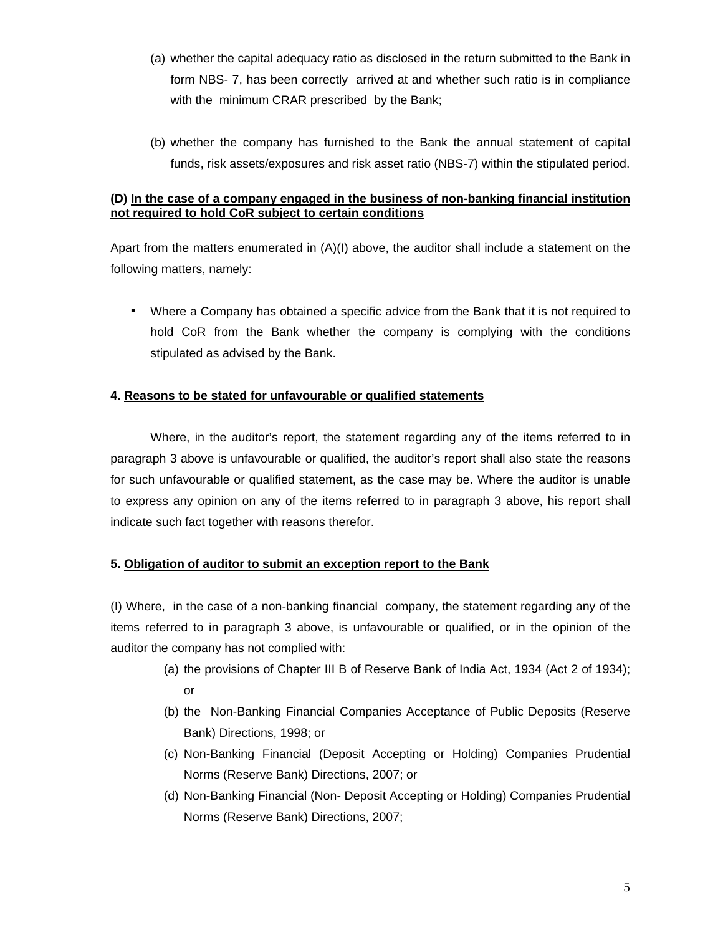- (a) whether the capital adequacy ratio as disclosed in the return submitted to the Bank in form NBS- 7, has been correctly arrived at and whether such ratio is in compliance with the minimum CRAR prescribed by the Bank;
- (b) whether the company has furnished to the Bank the annual statement of capital funds, risk assets/exposures and risk asset ratio (NBS-7) within the stipulated period.

## **(D) In the case of a company engaged in the business of non-banking financial institution not required to hold CoR subject to certain conditions**

Apart from the matters enumerated in (A)(I) above, the auditor shall include a statement on the following matters, namely:

 Where a Company has obtained a specific advice from the Bank that it is not required to hold CoR from the Bank whether the company is complying with the conditions stipulated as advised by the Bank.

# **4. Reasons to be stated for unfavourable or qualified statements**

 Where, in the auditor's report, the statement regarding any of the items referred to in paragraph 3 above is unfavourable or qualified, the auditor's report shall also state the reasons for such unfavourable or qualified statement, as the case may be. Where the auditor is unable to express any opinion on any of the items referred to in paragraph 3 above, his report shall indicate such fact together with reasons therefor.

### **5. Obligation of auditor to submit an exception report to the Bank**

(I) Where, in the case of a non-banking financial company, the statement regarding any of the items referred to in paragraph 3 above, is unfavourable or qualified, or in the opinion of the auditor the company has not complied with:

- (a) the provisions of Chapter III B of Reserve Bank of India Act, 1934 (Act 2 of 1934); or
- (b) the Non-Banking Financial Companies Acceptance of Public Deposits (Reserve Bank) Directions, 1998; or
- (c) Non-Banking Financial (Deposit Accepting or Holding) Companies Prudential Norms (Reserve Bank) Directions, 2007; or
- (d) Non-Banking Financial (Non- Deposit Accepting or Holding) Companies Prudential Norms (Reserve Bank) Directions, 2007;